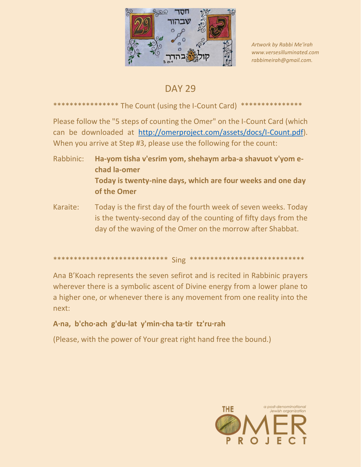

Artwork by Rabbi Me'irah www.versesilluminated.com rabbimeirah@gmail.com.

## **DAY 29**

## \*\*\*\*\*\*\*\*\*\*\*\*\* The Count (using the I-Count Card) \*\*\*\*\*\*\*\*\*\*\*\*\*\*\*

Please follow the "5 steps of counting the Omer" on the I-Count Card (which can be downloaded at http://omerproject.com/assets/docs/I-Count.pdf). When you arrive at Step #3, please use the following for the count:

- Ha-yom tisha v'esrim yom, shehaym arba-a shavuot v'yom e-Rabbinic: chad la-omer Today is twenty-nine days, which are four weeks and one day of the Omer
- Today is the first day of the fourth week of seven weeks. Today Karaite: is the twenty-second day of the counting of fifty days from the day of the waving of the Omer on the morrow after Shabbat.

```
****************************** Sing *****************************
```
Ana B'Koach represents the seven sefirot and is recited in Rabbinic prayers wherever there is a symbolic ascent of Divine energy from a lower plane to a higher one, or whenever there is any movement from one reality into the next:

## A·na, b'cho·ach g'du·lat y'min·cha ta·tir tz'ru·rah

(Please, with the power of Your great right hand free the bound.)

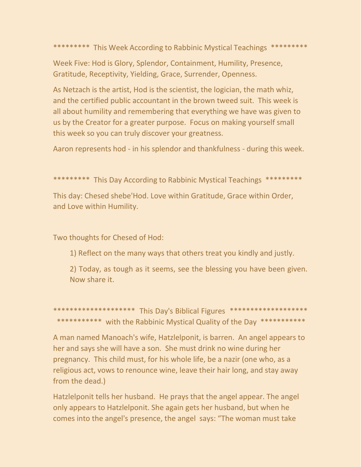\*\*\*\*\*\*\*\*\* This Week According to Rabbinic Mystical Teachings \*\*\*\*\*\*\*\*\*

Week Five: Hod is Glory, Splendor, Containment, Humility, Presence, Gratitude, Receptivity, Yielding, Grace, Surrender, Openness.

As Netzach is the artist, Hod is the scientist, the logician, the math whiz, and the certified public accountant in the brown tweed suit. This week is all about humility and remembering that everything we have was given to us by the Creator for a greater purpose. Focus on making yourself small this week so you can truly discover your greatness.

Aaron represents hod - in his splendor and thankfulness - during this week.

\*\*\*\*\*\*\*\*\* This Day According to Rabbinic Mystical Teachings \*\*\*\*\*\*\*\*\*

This day: Chesed shebe'Hod. Love within Gratitude, Grace within Order, and Love within Humility.

Two thoughts for Chesed of Hod:

1) Reflect on the many ways that others treat you kindly and justly.

2) Today, as tough as it seems, see the blessing you have been given. Now share it.

\*\*\*\*\*\*\*\*\*\*\*\*\*\*\*\*\*\*\*\* This Day's Biblical Figures \*\*\*\*\*\*\*\*\*\*\*\*\*\*\*\*\*\*\*\* \*\*\*\*\*\*\*\*\*\*\* with the Rabbinic Mystical Quality of the Day \*\*\*\*\*\*\*\*\*\*\*

A man named Manoach's wife, Hatzlelponit, is barren. An angel appears to her and says she will have a son. She must drink no wine during her pregnancy. This child must, for his whole life, be a nazir (one who, as a religious act, vows to renounce wine, leave their hair long, and stay away from the dead.)

Hatzlelponit tells her husband. He prays that the angel appear. The angel only appears to Hatzlelponit. She again gets her husband, but when he comes into the angel's presence, the angel says: "The woman must take